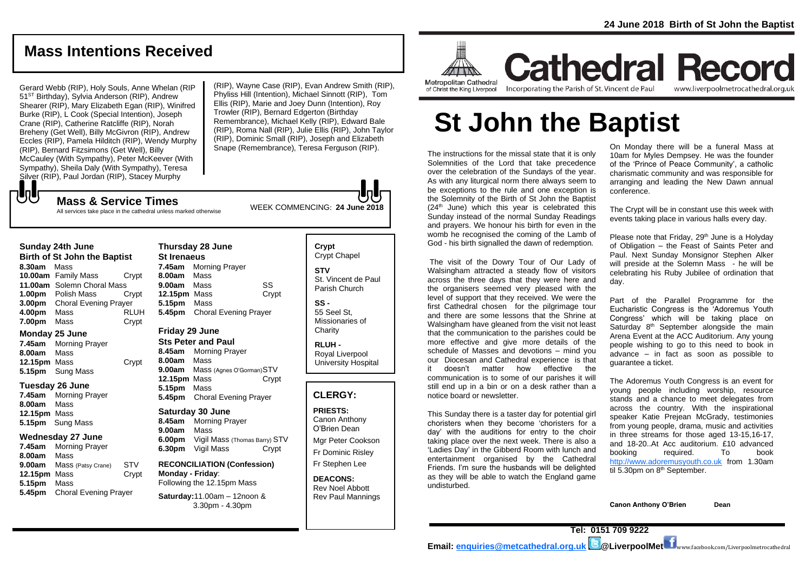## **Mass Intentions Received**

Gerard Webb (RIP), Holy Souls, Anne Whelan (RIP 51<sup>ST</sup> Birthday), Sylvia Anderson (RIP), Andrew Shearer (RIP), Mary Elizabeth Egan (RIP), Winifred Burke (RIP), L Cook (Special Intention), Joseph Crane (RIP), Catherine Ratcliffe (RIP), Norah Breheny (Get Well), Billy McGivron (RIP), Andrew Eccles (RIP), Pamela Hilditch (RIP), Wendy Murphy (RIP), Bernard Fitzsimons (Get Well), Billy McCauley (With Sympathy), Peter McKeever (With Sympathy), Sheila Daly (With Sympathy), Teresa Silver (RIP), Paul Jordan (RIP), Stacey Murphy

(RIP), Wayne Case (RIP), Evan Andrew Smith (RIP), Phyliss Hill (Intention), Michael Sinnott (RIP), Tom Ellis (RIP), Marie and Joey Dunn (Intention), Roy Trowler (RIP), Bernard Edgerton (Birthday Remembrance), Michael Kelly (RIP), Edward Bale (RIP), Roma Nall (RIP), Julie Ellis (RIP), John Taylor (RIP), Dominic Small (RIP), Joseph and Elizabeth Snape (Remembrance), Teresa Ferguson (RIP).

All services take place in the cathedral unless marked otherwise

#### **Sunday 24th June**

もし

**Birth of St John the Baptist 8.30am** Mass **10.00am** Family Mass Crypt **11.00am** Solemn Choral Mass **1.00pm** Polish Mass Crypt **3.00pm** Choral Evening Prayer **4.00pm** Mass RLUH **7.00pm** Mass Crypt

#### **Monday 25 June**

**7.45am** Morning Prayer **8.00am** Mass **12.15pm** Mass Crypt **5.15pm** Sung Mass

#### **Tuesday 26 June**

**7.45am** Morning Prayer **8.00am** Mass **12.15pm** Mass **5.15pm** Sung Mass

#### **Wednesday 27 June**

**7.45am** Morning Prayer **8.00am** Mass **9.00am** Mass (Patsy Crane) STV **12.15pm** Mass Crypt **5.15pm** Mass **5.45pm** Choral Evening Prayer

**Thursday 28 June St Irenaeus 7.45am** Morning Prayer **8.00am** Mass **9.00am** Mass SS **12.15pm** Mass Crypt **5.15pm** Mass **5.45pm** Choral Evening Prayer

#### **Friday 29 June Sts Peter and Paul**

**8.45am** Morning Prayer **8.00am** Mass **9.00am** Mass (Agnes O'Gorman)STV **12.15pm** Mass Crypt **5.15pm** Mass **5.45pm** Choral Evening Prayer

## **Saturday 30 June**

**8.45am** Morning Prayer **9.00am** Mass **6.00pm** Vigil Mass (Thomas Barry) STV **6.30pm** Vigil Mass Crypt

#### **RECONCILIATION (Confession) Monday - Friday**: Following the 12.15pm Mass

**Saturday:**11.00am – 12noon & 3.30pm - 4.30pm

## **Crypt**  Crypt Chapel **STV** St. Vincent de Paul Parish Church

**SS -** 55 Seel St, Missionaries of **Charity** 

**RLUH -** Royal Liverpool University Hospital

## **CLERGY:**

**PRIESTS:** Canon Anthony O'Brien *Dean*

Mgr Peter Cookson Fr Dominic Risley Fr Stephen Lee

**DEACONS:** Rev Noel Abbott Rev Paul Mannings



**Cathedral Record Metropolitan Cathedral** of Christ the King Liverpool

Incorporating the Parish of St. Vincent de Paul www.liverpoolmetrocathedral.org.uk

# **St John the Baptist**

The instructions for the missal state that it is only Solemnities of the Lord that take precedence over the celebration of the Sundays of the year. As with any liturgical norm there always seem to be exceptions to the rule and one exception is the Solemnity of the Birth of St John the Baptist (24<sup>th</sup> June) which this year is celebrated this Sunday instead of the normal Sunday Readings and prayers. We honour his birth for even in the womb he recognised the coming of the Lamb of God - his birth signalled the dawn of redemption.

The visit of the Dowry Tour of Our Lady of Walsingham attracted a steady flow of visitors across the three days that they were here and the organisers seemed very pleased with the level of support that they received. We were the first Cathedral chosen for the pilgrimage tour and there are some lessons that the Shrine at Walsingham have gleaned from the visit not least that the communication to the parishes could be more effective and give more details of the schedule of Masses and devotions – mind you our Diocesan and Cathedral experience is that it doesn't matter how effective the communication is to some of our parishes it will still end up in a bin or on a desk rather than a notice board or newsletter.

This Sunday there is a taster day for potential girl choristers when they become 'choristers for a day' with the auditions for entry to the choir taking place over the next week. There is also a 'Ladies Day' in the Gibberd Room with lunch and entertainment organised by the Cathedral Friends. I'm sure the husbands will be delighted as they will be able to watch the England game undisturbed.

On Monday there will be a funeral Mass at 10am for Myles Dempsey. He was the founder of the 'Prince of Peace Community', a catholic charismatic community and was responsible for arranging and leading the New Dawn annual conference.

The Crypt will be in constant use this week with events taking place in various halls every day.

Please note that Friday, 29<sup>th</sup> June is a Holyday of Obligation – the Feast of Saints Peter and Paul. Next Sunday Monsignor Stephen Alker will preside at the Solemn Mass - he will be celebrating his Ruby Jubilee of ordination that day.

Part of the Parallel Programme for the Eucharistic Congress is the 'Adoremus Youth Congress' which will be taking place on Saturday 8<sup>th</sup> September alongside the main Arena Event at the ACC Auditorium. Any young people wishing to go to this need to book in advance – in fact as soon as possible to guarantee a ticket.

*The Adoremus Youth Congress is an event for young people including worship, resource stands and a chance to meet delegates from across the country. With the inspirational speaker Katie Prejean McGrady, testimonies from young people, drama, music and activities in three streams for those aged 13-15,16-17, and 18-20..At Acc auditorium. £10 advanced booking required. To book [http://www.adoremusyouth.co.uk](http://www.adoremusyouth.co.uk/) from 1.30am til 5.30pm on 8th September.*

**Canon Anthony O'Brien Dean**

WEEK COMMENCING: **<sup>24</sup> June <sup>2018</sup> Mass & Service Times**